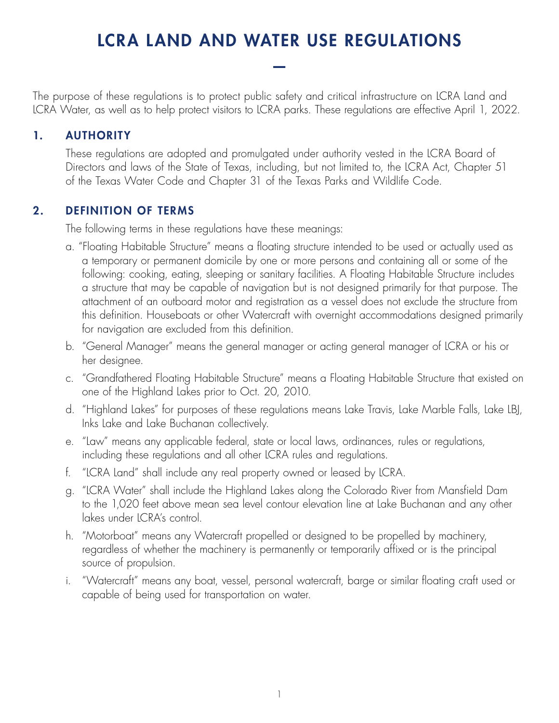# LCRA LAND AND WATER USE REGULATIONS

—

The purpose of these regulations is to protect public safety and critical infrastructure on LCRA Land and LCRA Water, as well as to help protect visitors to LCRA parks. These regulations are effective April 1, 2022.

# 1. AUTHORITY

These regulations are adopted and promulgated under authority vested in the LCRA Board of Directors and laws of the State of Texas, including, but not limited to, the LCRA Act, Chapter 51 of the Texas Water Code and Chapter 31 of the Texas Parks and Wildlife Code.

#### 2. DEFINITION OF TERMS

The following terms in these regulations have these meanings:

- a. "Floating Habitable Structure" means a floating structure intended to be used or actually used as a temporary or permanent domicile by one or more persons and containing all or some of the following: cooking, eating, sleeping or sanitary facilities. A Floating Habitable Structure includes a structure that may be capable of navigation but is not designed primarily for that purpose. The attachment of an outboard motor and registration as a vessel does not exclude the structure from this definition. Houseboats or other Watercraft with overnight accommodations designed primarily for navigation are excluded from this definition.
- b. "General Manager" means the general manager or acting general manager of LCRA or his or her designee.
- c. "Grandfathered Floating Habitable Structure" means a Floating Habitable Structure that existed on one of the Highland Lakes prior to Oct. 20, 2010.
- d. "Highland Lakes" for purposes of these regulations means Lake Travis, Lake Marble Falls, Lake LBJ, Inks Lake and Lake Buchanan collectively.
- e. "Law" means any applicable federal, state or local laws, ordinances, rules or regulations, including these regulations and all other LCRA rules and regulations.
- f. "LCRA Land" shall include any real property owned or leased by LCRA.
- g. "LCRA Water" shall include the Highland Lakes along the Colorado River from Mansfield Dam to the 1,020 feet above mean sea level contour elevation line at Lake Buchanan and any other lakes under LCRA's control.
- h. "Motorboat" means any Watercraft propelled or designed to be propelled by machinery, regardless of whether the machinery is permanently or temporarily affixed or is the principal source of propulsion.
- i. "Watercraft" means any boat, vessel, personal watercraft, barge or similar floating craft used or capable of being used for transportation on water.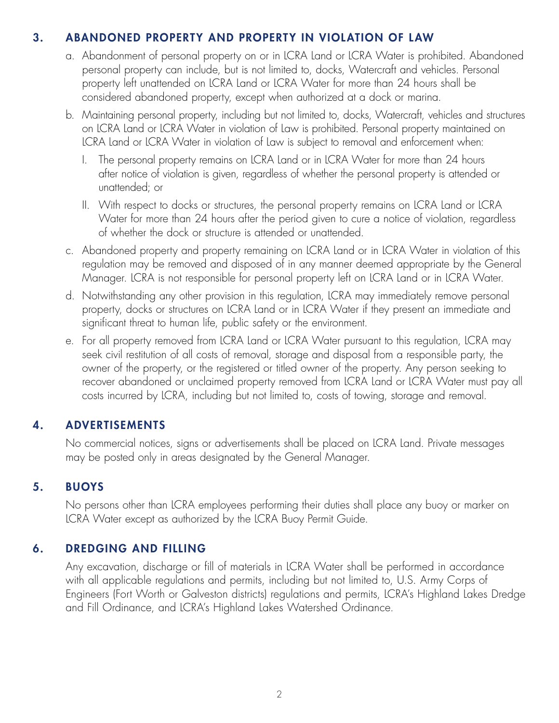# 3. ABANDONED PROPERTY AND PROPERTY IN VIOLATION OF LAW

- a. Abandonment of personal property on or in LCRA Land or LCRA Water is prohibited. Abandoned personal property can include, but is not limited to, docks, Watercraft and vehicles. Personal property left unattended on LCRA Land or LCRA Water for more than 24 hours shall be considered abandoned property, except when authorized at a dock or marina.
- b. Maintaining personal property, including but not limited to, docks, Watercraft, vehicles and structures on LCRA Land or LCRA Water in violation of Law is prohibited. Personal property maintained on LCRA Land or LCRA Water in violation of Law is subject to removal and enforcement when:
	- I. The personal property remains on LCRA Land or in LCRA Water for more than 24 hours after notice of violation is given, regardless of whether the personal property is attended or unattended; or
	- II. With respect to docks or structures, the personal property remains on LCRA Land or LCRA Water for more than 24 hours after the period given to cure a notice of violation, regardless of whether the dock or structure is attended or unattended.
- c. Abandoned property and property remaining on LCRA Land or in LCRA Water in violation of this regulation may be removed and disposed of in any manner deemed appropriate by the General Manager. LCRA is not responsible for personal property left on LCRA Land or in LCRA Water.
- d. Notwithstanding any other provision in this regulation, LCRA may immediately remove personal property, docks or structures on LCRA Land or in LCRA Water if they present an immediate and significant threat to human life, public safety or the environment.
- e. For all property removed from LCRA Land or LCRA Water pursuant to this regulation, LCRA may seek civil restitution of all costs of removal, storage and disposal from a responsible party, the owner of the property, or the registered or titled owner of the property. Any person seeking to recover abandoned or unclaimed property removed from LCRA Land or LCRA Water must pay all costs incurred by LCRA, including but not limited to, costs of towing, storage and removal.

# 4. ADVERTISEMENTS

No commercial notices, signs or advertisements shall be placed on LCRA Land. Private messages may be posted only in areas designated by the General Manager.

#### 5. BUOYS

No persons other than LCRA employees performing their duties shall place any buoy or marker on LCRA Water except as authorized by the LCRA Buoy Permit Guide.

#### 6. DREDGING AND FILLING

Any excavation, discharge or fill of materials in LCRA Water shall be performed in accordance with all applicable regulations and permits, including but not limited to, U.S. Army Corps of Engineers (Fort Worth or Galveston districts) regulations and permits, LCRA's Highland Lakes Dredge and Fill Ordinance, and LCRA's Highland Lakes Watershed Ordinance.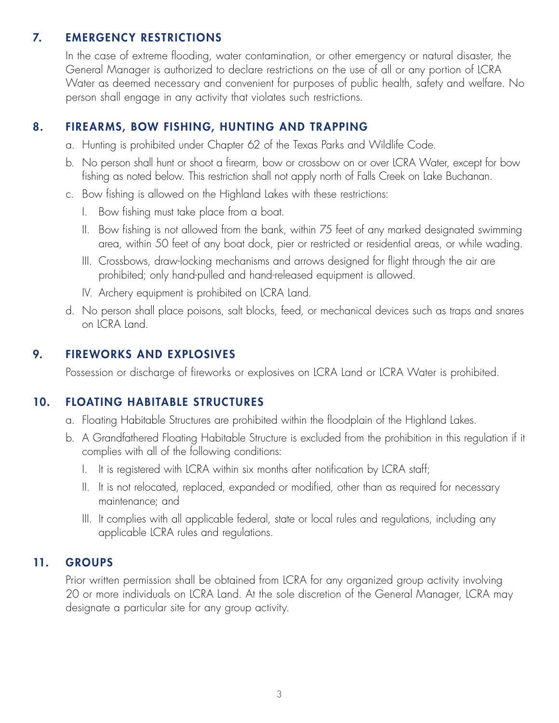# 7. EMERGENCY RESTRICTIONS

In the case of extreme flooding, water contamination, or other emergency or natural disaster, the General Manager is authorized to declare restrictions on the use of all or any portion of LCRA Water as deemed necessary and convenient for purposes of public health, safety and welfare. No person shall engage in any activity that violates such restrictions.

# 8. FIREARMS, BOW FISHING, HUNTING AND TRAPPING

- a. Hunting is prohibited under Chapter 62 of the Texas Parks and Wildlife Code.
- b. No person shall hunt or shoot a firearm, bow or crossbow on or over LCRA Water, except for bow fishing as noted below. This restriction shall not apply north of Falls Creek on Lake Buchanan.
- c. Bow fishing is allowed on the Highland Lakes with these restrictions:
	- I. Bow fishing must take place from a boat.
	- II. Bow fishing is not allowed from the bank, within 75 feet of any marked designated swimming area, within 50 feet of any boat dock, pier or restricted or residential areas, or while wading.
	- III. Crossbows, draw-locking mechanisms and arrows designed for flight through the air are prohibited; only hand-pulled and hand-released equipment is allowed.
	- IV. Archery equipment is prohibited on LCRA Land.
- d. No person shall place poisons, salt blocks, feed, or mechanical devices such as traps and snares on LCRA Land.

#### 9. FIREWORKS AND EXPLOSIVES

Possession or discharge of fireworks or explosives on LCRA Land or LCRA Water is prohibited.

#### 10. FLOATING HABITABLE STRUCTURES

- a. Floating Habitable Structures are prohibited within the floodplain of the Highland Lakes.
- b. A Grandfathered Floating Habitable Structure is excluded from the prohibition in this regulation if it complies with all of the following conditions:
	- I. It is registered with LCRA within six months after notification by LCRA staff;
	- II. It is not relocated, replaced, expanded or modified, other than as required for necessary maintenance; and
	- III. It complies with all applicable federal, state or local rules and regulations, including any applicable LCRA rules and regulations.

#### 11. GROUPS

Prior written permission shall be obtained from LCRA for any organized group activity involving 20 or more individuals on LCRA Land. At the sole discretion of the General Manager, LCRA may designate a particular site for any group activity.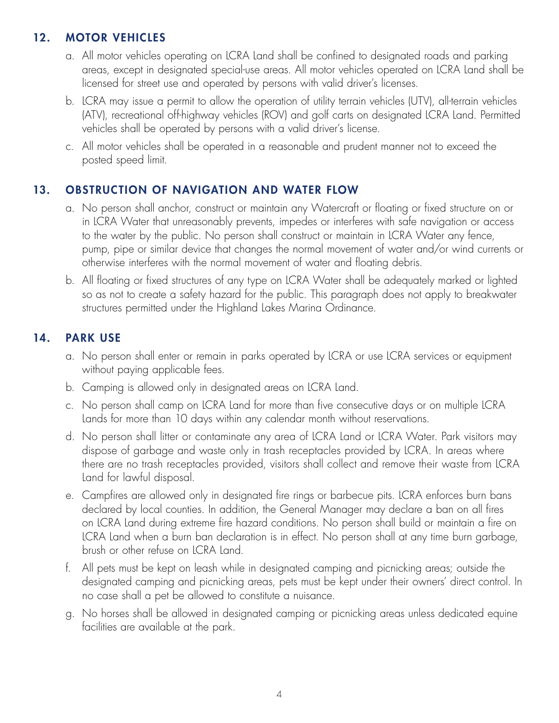# 12. MOTOR VEHICLES

- a. All motor vehicles operating on LCRA Land shall be confined to designated roads and parking areas, except in designated special-use areas. All motor vehicles operated on LCRA Land shall be licensed for street use and operated by persons with valid driver's licenses.
- b. LCRA may issue a permit to allow the operation of utility terrain vehicles (UTV), all-terrain vehicles (ATV), recreational off-highway vehicles (ROV) and golf carts on designated LCRA Land. Permitted vehicles shall be operated by persons with a valid driver's license.
- c. All motor vehicles shall be operated in a reasonable and prudent manner not to exceed the posted speed limit.

# 13. OBSTRUCTION OF NAVIGATION AND WATER FLOW

- a. No person shall anchor, construct or maintain any Watercraft or floating or fixed structure on or in LCRA Water that unreasonably prevents, impedes or interferes with safe navigation or access to the water by the public. No person shall construct or maintain in LCRA Water any fence, pump, pipe or similar device that changes the normal movement of water and/or wind currents or otherwise interferes with the normal movement of water and floating debris.
- b. All floating or fixed structures of any type on LCRA Water shall be adequately marked or lighted so as not to create a safety hazard for the public. This paragraph does not apply to breakwater structures permitted under the Highland Lakes Marina Ordinance.

#### 14. PARK USE

- a. No person shall enter or remain in parks operated by LCRA or use LCRA services or equipment without paying applicable fees.
- b. Camping is allowed only in designated areas on LCRA Land.
- c. No person shall camp on LCRA Land for more than five consecutive days or on multiple LCRA Lands for more than 10 days within any calendar month without reservations.
- d. No person shall litter or contaminate any area of LCRA Land or LCRA Water. Park visitors may dispose of garbage and waste only in trash receptacles provided by LCRA. In areas where there are no trash receptacles provided, visitors shall collect and remove their waste from LCRA Land for lawful disposal.
- e. Campfires are allowed only in designated fire rings or barbecue pits. LCRA enforces burn bans declared by local counties. In addition, the General Manager may declare a ban on all fires on LCRA Land during extreme fire hazard conditions. No person shall build or maintain a fire on LCRA Land when a burn ban declaration is in effect. No person shall at any time burn garbage, brush or other refuse on LCRA Land.
- f. All pets must be kept on leash while in designated camping and picnicking areas; outside the designated camping and picnicking areas, pets must be kept under their owners' direct control. In no case shall a pet be allowed to constitute a nuisance.
- g. No horses shall be allowed in designated camping or picnicking areas unless dedicated equine facilities are available at the park.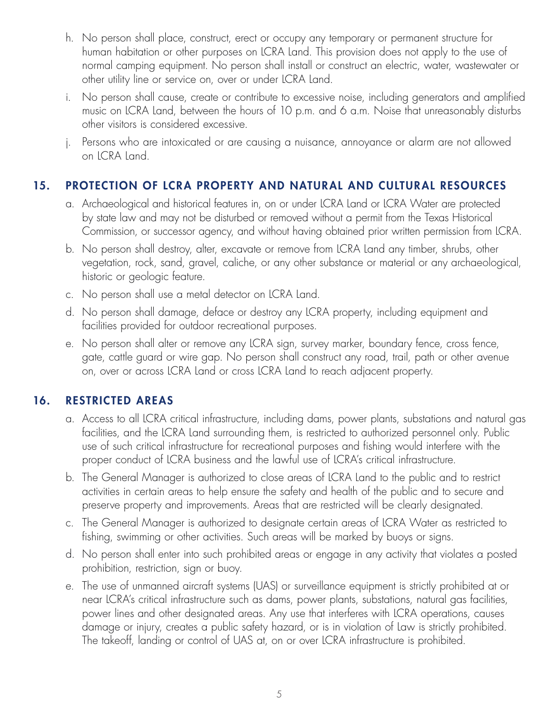- h. No person shall place, construct, erect or occupy any temporary or permanent structure for human habitation or other purposes on LCRA Land. This provision does not apply to the use of normal camping equipment. No person shall install or construct an electric, water, wastewater or other utility line or service on, over or under LCRA Land.
- i. No person shall cause, create or contribute to excessive noise, including generators and amplified music on LCRA Land, between the hours of 10 p.m. and 6 a.m. Noise that unreasonably disturbs other visitors is considered excessive.
- j. Persons who are intoxicated or are causing a nuisance, annoyance or alarm are not allowed on LCRA Land.

# 15. PROTECTION OF LCRA PROPERTY AND NATURAL AND CULTURAL RESOURCES

- a. Archaeological and historical features in, on or under LCRA Land or LCRA Water are protected by state law and may not be disturbed or removed without a permit from the Texas Historical Commission, or successor agency, and without having obtained prior written permission from LCRA.
- b. No person shall destroy, alter, excavate or remove from LCRA Land any timber, shrubs, other vegetation, rock, sand, gravel, caliche, or any other substance or material or any archaeological, historic or geologic feature.
- c. No person shall use a metal detector on LCRA Land.
- d. No person shall damage, deface or destroy any LCRA property, including equipment and facilities provided for outdoor recreational purposes.
- e. No person shall alter or remove any LCRA sign, survey marker, boundary fence, cross fence, gate, cattle guard or wire gap. No person shall construct any road, trail, path or other avenue on, over or across LCRA Land or cross LCRA Land to reach adjacent property.

#### 16. RESTRICTED AREAS

- a. Access to all LCRA critical infrastructure, including dams, power plants, substations and natural gas facilities, and the LCRA Land surrounding them, is restricted to authorized personnel only. Public use of such critical infrastructure for recreational purposes and fishing would interfere with the proper conduct of LCRA business and the lawful use of LCRA's critical infrastructure.
- b. The General Manager is authorized to close areas of LCRA Land to the public and to restrict activities in certain areas to help ensure the safety and health of the public and to secure and preserve property and improvements. Areas that are restricted will be clearly designated.
- c. The General Manager is authorized to designate certain areas of LCRA Water as restricted to fishing, swimming or other activities. Such areas will be marked by buoys or signs.
- d. No person shall enter into such prohibited areas or engage in any activity that violates a posted prohibition, restriction, sign or buoy.
- e. The use of unmanned aircraft systems (UAS) or surveillance equipment is strictly prohibited at or near LCRA's critical infrastructure such as dams, power plants, substations, natural gas facilities, power lines and other designated areas. Any use that interferes with LCRA operations, causes damage or injury, creates a public safety hazard, or is in violation of Law is strictly prohibited. The takeoff, landing or control of UAS at, on or over LCRA infrastructure is prohibited.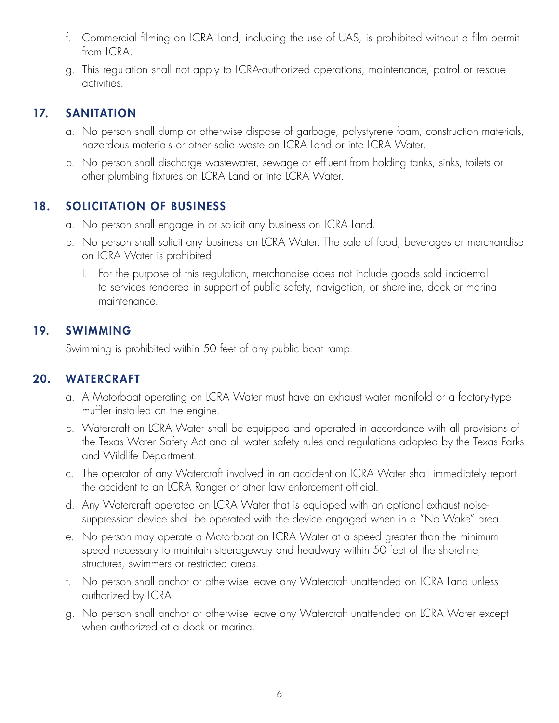- f. Commercial filming on LCRA Land, including the use of UAS, is prohibited without a film permit from *ICRA*.
- g. This regulation shall not apply to LCRA-authorized operations, maintenance, patrol or rescue activities.

# 17. SANITATION

- a. No person shall dump or otherwise dispose of garbage, polystyrene foam, construction materials, hazardous materials or other solid waste on LCRA Land or into LCRA Water.
- b. No person shall discharge wastewater, sewage or effluent from holding tanks, sinks, toilets or other plumbing fixtures on LCRA Land or into LCRA Water.

#### 18. SOLICITATION OF BUSINESS

- a. No person shall engage in or solicit any business on LCRA Land.
- b. No person shall solicit any business on LCRA Water. The sale of food, beverages or merchandise on LCRA Water is prohibited.
	- I. For the purpose of this regulation, merchandise does not include goods sold incidental to services rendered in support of public safety, navigation, or shoreline, dock or marina maintenance.

#### 19. SWIMMING

Swimming is prohibited within 50 feet of any public boat ramp.

#### 20. WATERCRAFT

- a. A Motorboat operating on LCRA Water must have an exhaust water manifold or a factory-type muffler installed on the engine.
- b. Watercraft on LCRA Water shall be equipped and operated in accordance with all provisions of the Texas Water Safety Act and all water safety rules and regulations adopted by the Texas Parks and Wildlife Department.
- c. The operator of any Watercraft involved in an accident on LCRA Water shall immediately report the accident to an LCRA Ranger or other law enforcement official.
- d. Any Watercraft operated on LCRA Water that is equipped with an optional exhaust noisesuppression device shall be operated with the device engaged when in a "No Wake" area.
- e. No person may operate a Motorboat on LCRA Water at a speed greater than the minimum speed necessary to maintain steerageway and headway within 50 feet of the shoreline, structures, swimmers or restricted areas.
- f. No person shall anchor or otherwise leave any Watercraft unattended on LCRA Land unless authorized by LCRA.
- g. No person shall anchor or otherwise leave any Watercraft unattended on LCRA Water except when authorized at a dock or marina.